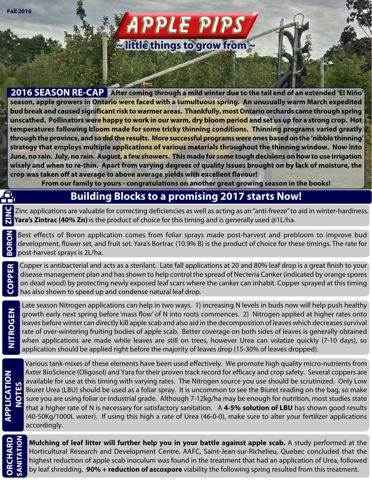# **APPLE PIPS ~ little things to grow from ~**

**2016 SEASON RE-CAP After coming through a mild winter due to the tail end of an extended 'El Niño' season, apple growers in Ontario were faced with a tumultuous spring. An unusually warm March expedited bud break and caused significant risk to warmer areas. Thankfully, most Ontario orchards came through spring unscathed. Pollinators were happy to work in our warm, dry bloom period and set us up for a strong crop. Hot temperatures following bloom made for some tricky thinning conditions. Thinning programs varied greatly through the province, and so did the results. More successful programs were ones based on the 'nibble thinning' strategy that employs multiple applications of various materials throughout the thinning window. Now into June, no rain. July, no rain. August, a few showers. This made for some tough decisions on how to use irrigation wisely and when to re-thin. Apart from varying degrees of quality issues brought on by lack of moisture, the crop was taken off at average to above average yields with excellent flavour!**

**From our family to yours - congratulations on another great growing season in the books!**

## **Building Blocks to a promising 2017 starts Now!**

Zinc applications are valuable for correcting deficiencies as well as acting as an "anti-freeze" to aid in winter-hardiness. **Yara's Zintrac (40% Zn)** is the product of choice for this timing and is generally used @1L/ha. **ZINC**

Best effects of Boron application comes from foliar sprays made post-harvest and prebloom to improve bud development, flower set, and fruit set. Yara's Bortrac (10.9% B) is the product of choice for these timings. The rate for **BORON** post-harvest sprays is 2L/ha.

Copper is antibacterial and acts as a sterilant. Late fall applications at 20 and 80% leaf drop is a great finish to your disease management plan and has shown to help control the spread of Necteria Canker (indicated by orange spores on dead wood) by protecting newly exposed leaf scars where the canker can inhabit. Copper sprayed at this timing **COPPER** has also shown to speed up and condense natural leaf drop.

Late season Nitrogen applications can help in two ways. 1) increasing N levels in buds now will help push healthy growth early next spring before 'mass flow' of N into roots commences. 2) Nitrogen applied at higher rates onto leaves before winter can directly kill apple scab and also aid in the decomposition of leaves which decreases survival rate of over-wintering fruiting bodies of apple scab. Better coverage on both sides of leaves is generally obtained when applications are made while leaves are still on trees, however Urea can volatize quickly (7-10 days), so application should be applied right before the majority of leaves drop (15-30% of leaves dropped).

**ORCHARD**

**NITROGEN**

Various tank-mixes of these elements have been used effectively. We promote high quality micro-nutrients from Axter BioScience (Oligosol) and Yara for their proven track record for efficacy and crop safety. Several coppers are available for use at this timing with varying rates. The Nitrogen source you use should be scrutinized. Only Low Biuret Urea (LBU) should be used as a foliar spray. It is uncommon to see the Biuret reading on the bag, so make sure you are using foliar or industrial grade. Although 7-12kg/ha may be enough for nutrition, most studies state that a higher rate of N is necessary for satisfactory sanitation. A **4-5% solution of LBU** has shown good results (40-50Kg/1000L water). If using this high a rate of Urea (46-0-0), make sure to alter your fertilizer applications accordingly.

**Mulching of leaf litter will further help you in your battle against apple scab.** A study performed at the Horticultural Research and Development Centre, AAFC, Saint-Jean-sur-Richelieu, Quebec concluded that the highest reduction of apple scab inoculum was found in the treatment that had an application of Urea, followed by leaf shredding. **90% + reduction of ascospore** viability the following spring resulted from this treatment. **SANITATION**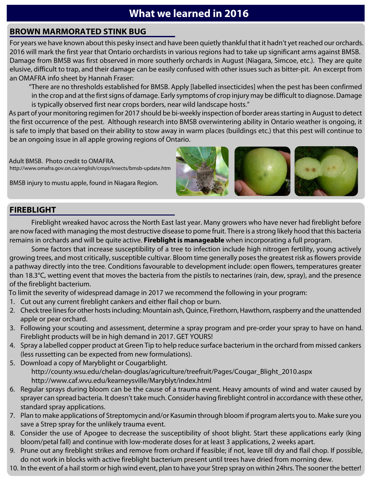## **What we learned in 2016**

### **BROWN MARMORATED STINK BUG**

For years we have known about this pesky insect and have been quietly thankful that it hadn't yet reached our orchards. 2016 will mark the first year that Ontario orchardists in various regions had to take up significant arms against BMSB. Damage from BMSB was first observed in more southerly orchards in August (Niagara, Simcoe, etc.). They are quite elusive, difficult to trap, and their damage can be easily confused with other issues such as bitter-pit. An excerpt from an OMAFRA info sheet by Hannah Fraser:

"There are no thresholds established for BMSB. Apply [labelled insecticides] when the pest has been confirmed in the crop and at the first signs of damage. Early symptoms of crop injury may be difficult to diagnose. Damage is typically observed first near crops borders, near wild landscape hosts."

As part of your monitoring regimen for 2017 should be bi-weekly inspection of border areas starting in August to detect the first occurrence of the pest. Although research into BMSB overwintering ability in Ontario weather is ongoing, it is safe to imply that based on their ability to stow away in warm places (buildings etc.) that this pest will continue to be an ongoing issue in all apple growing regions of Ontario.

Adult BMSB. Photo credit to OMAFRA. http://www.omafra.gov.on.ca/english/crops/insects/bmsb-update.htm

BMSB injury to mustu apple, found in Niagara Region.



### **FIREBLIGHT**

Fireblight wreaked havoc across the North East last year. Many growers who have never had fireblight before are now faced with managing the most destructive disease to pome fruit. There is a strong likely hood that this bacteria remains in orchards and will be quite active. **Fireblight is manageable** when incorporating a full program.

Some factors that increase susceptibility of a tree to infection include high nitrogen fertility, young actively growing trees, and most critically, susceptible cultivar. Bloom time generally poses the greatest risk as flowers provide a pathway directly into the tree. Conditions favourable to development include: open flowers, temperatures greater than 18.3°C, wetting event that moves the bacteria from the pistils to nectarines (rain, dew, spray), and the presence of the fireblight bacterium.

To limit the severity of widespread damage in 2017 we recommend the following in your program:

- 1. Cut out any current fireblight cankers and either flail chop or burn.
- 2. Check tree lines for other hosts including: Mountain ash, Quince, Firethorn, Hawthorn, raspberry and the unattended apple or pear orchard.
- 3. Following your scouting and assessment, determine a spray program and pre-order your spray to have on hand. Fireblight products will be in high demand in 2017. GET YOURS!
- 4. Spray a labelled copper product at Green Tip to help reduce surface bacterium in the orchard from missed cankers (less russetting can be expected from new formulations).
- 5. Download a copy of Maryblight or Cougarblight. http://county.wsu.edu/chelan-douglas/agriculture/treefruit/Pages/Cougar\_Blight\_2010.aspx http://www.caf.wvu.edu/kearneysville/Maryblyt/index.html
- 6. Regular sprays during bloom can be the cause of a trauma event. Heavy amounts of wind and water caused by sprayer can spread bacteria. It doesn't take much. Consider having fireblight control in accordance with these other, standard spray applications.
- 7. Plan to make applications of Streptomycin and/or Kasumin through bloom if program alerts you to. Make sure you save a Strep spray for the unlikely trauma event.
- 8. Consider the use of Apogee to decrease the susceptibility of shoot blight. Start these applications early (king bloom/petal fall) and continue with low-moderate doses for at least 3 applications, 2 weeks apart.
- 9. Prune out any fireblight strikes and remove from orchard if feasible; if not, leave till dry and flail chop. If possible, do not work in blocks with active fireblight bacterium present until trees have dried from morning dew.
- 10. In the event of a hail storm or high wind event, plan to have your Strep spray on within 24hrs. The sooner the better!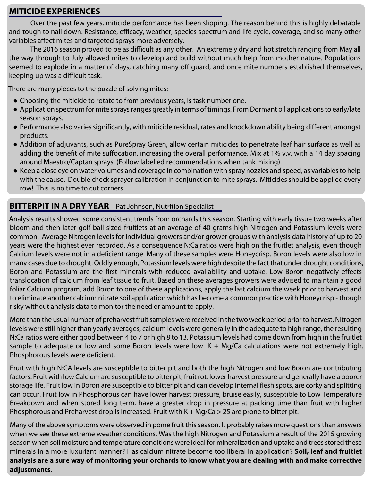#### **MITICIDE EXPERIENCES**

Over the past few years, miticide performance has been slipping. The reason behind this is highly debatable and tough to nail down. Resistance, efficacy, weather, species spectrum and life cycle, coverage, and so many other variables affect mites and targeted sprays more adversely.

The 2016 season proved to be as difficult as any other. An extremely dry and hot stretch ranging from May all the way through to July allowed mites to develop and build without much help from mother nature. Populations seemed to explode in a matter of days, catching many off guard, and once mite numbers established themselves, keeping up was a difficult task.

There are many pieces to the puzzle of solving mites:

- Choosing the miticide to rotate to from previous years, is task number one.
- Application spectrum for mite sprays ranges greatly in terms of timings. From Dormant oil applications to early/late season sprays.
- Performance also varies significantly, with miticide residual, rates and knockdown ability being different amongst products.
- Addition of adjuvants, such as PureSpray Green, allow certain miticides to penetrate leaf hair surface as well as adding the benefit of mite suffocation, increasing the overall performance. Mix at 1% v.v. with a 14 day spacing around Maestro/Captan sprays. (Follow labelled recommendations when tank mixing).
- Keep a close eye on water volumes and coverage in combination with spray nozzles and speed, as variables to help with the cause. Double check sprayer calibration in conjunction to mite sprays. Miticides should be applied every row! This is no time to cut corners.

#### **BITTERPIT IN A DRY YEAR** Pat Johnson, Nutrition Specialist

Analysis results showed some consistent trends from orchards this season. Starting with early tissue two weeks after bloom and then later golf ball sized fruitlets at an average of 40 grams high Nitrogen and Potassium levels were common. Average Nitrogen levels for individual growers and/or grower groups with analysis data history of up to 20 years were the highest ever recorded. As a consequence N:Ca ratios were high on the fruitlet analysis, even though Calcium levels were not in a deficient range. Many of these samples were Honeycrisp. Boron levels were also low in many cases due to drought. Oddly enough, Potassium levels were high despite the fact that under drought conditions, Boron and Potassium are the first minerals with reduced availability and uptake. Low Boron negatively effects translocation of calcium from leaf tissue to fruit. Based on these averages growers were advised to maintain a good foliar Calcium program, add Boron to one of these applications, apply the last calcium the week prior to harvest and to eliminate another calcium nitrate soil application which has become a common practice with Honeycrisp - though risky without analysis data to monitor the need or amount to apply.

More than the usual number of preharvest fruit samples were received in the two week period prior to harvest. Nitrogen levels were still higher than yearly averages, calcium levels were generally in the adequate to high range, the resulting N:Ca ratios were either good between 4 to 7 or high 8 to 13. Potassium levels had come down from high in the fruitlet sample to adequate or low and some Boron levels were low. K + Mg/Ca calculations were not extremely high. Phosphorous levels were deficient.

Fruit with high N:CA levels are susceptible to bitter pit and both the high Nitrogen and low Boron are contributing factors. Fruit with low Calcium are susceptible to bitter pit, fruit rot, lower harvest pressure and generally have a poorer storage life. Fruit low in Boron are susceptible to bitter pit and can develop internal flesh spots, are corky and splitting can occur. Fruit low in Phosphorous can have lower harvest pressure, bruise easily, susceptible to Low Temperature Breakdown and when stored long term, have a greater drop in pressure at packing time than fruit with higher Phosphorous and Preharvest drop is increased. Fruit with  $K + Mg/Ca > 25$  are prone to bitter pit.

Many of the above symptoms were observed in pome fruit this season. It probably raises more questions than answers when we see these extreme weather conditions. Was the high Nitrogen and Potassium a result of the 2015 growing season when soil moisture and temperature conditions were ideal for mineralization and uptake and trees stored these minerals in a more luxuriant manner? Has calcium nitrate become too liberal in application? **Soil, leaf and fruitlet analysis are a sure way of monitoring your orchards to know what you are dealing with and make corrective adjustments.**